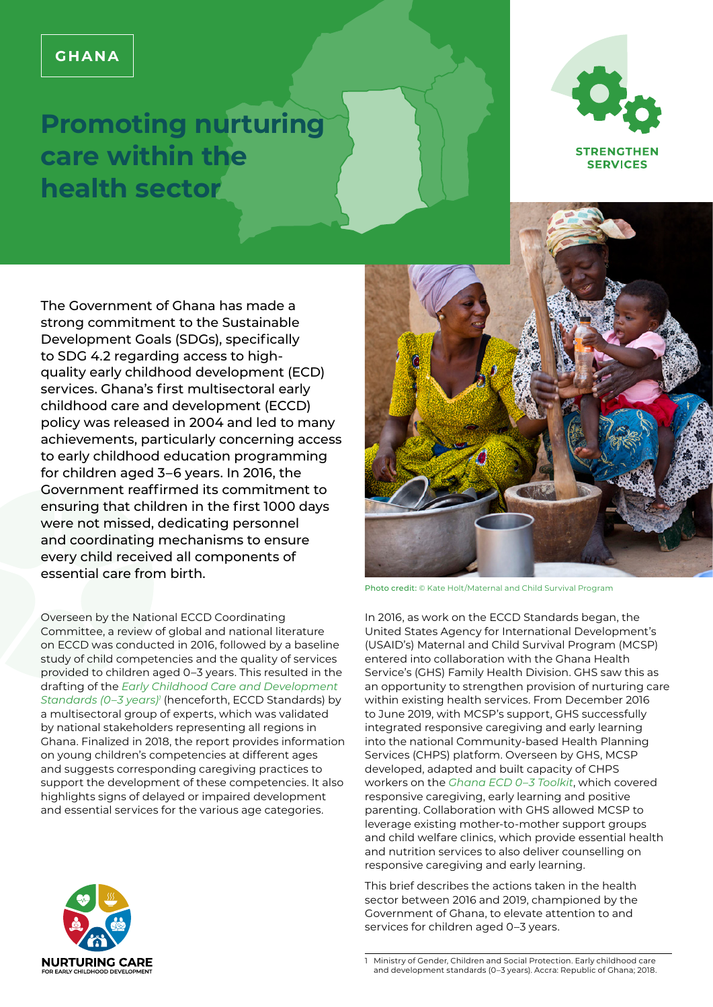# **GHANA**

# **Promoting nurturing care within the health sector**



The Government of Ghana has made a strong commitment to the Sustainable Development Goals (SDGs), specifically to SDG 4.2 regarding access to highquality early childhood development (ECD) services. Ghana's first multisectoral early childhood care and development (ECCD) policy was released in 2004 and led to many achievements, particularly concerning access to early childhood education programming for children aged 3–6 years. In 2016, the Government reaffirmed its commitment to ensuring that children in the first 1000 days were not missed, dedicating personnel and coordinating mechanisms to ensure every child received all components of essential care from birth.

Overseen by the National ECCD Coordinating Committee, a review of global and national literature on ECCD was conducted in 2016, followed by a baseline study of child competencies and the quality of services provided to children aged 0–3 years. This resulted in the drafting of the *[Early Childhood Care and Development](https://www.unicef.org/ghana/media/2031/file/Early%20Childhood%20Care%20and%20Development%20Standards.pdf)  [Standards \(0–3 years\)1](https://www.unicef.org/ghana/media/2031/file/Early%20Childhood%20Care%20and%20Development%20Standards.pdf)* (henceforth, ECCD Standards) by a multisectoral group of experts, which was validated by national stakeholders representing all regions in Ghana. Finalized in 2018, the report provides information on young children's competencies at different ages and suggests corresponding caregiving practices to support the development of these competencies. It also highlights signs of delayed or impaired development and essential services for the various age categories.





Photo credit: © Kate Holt/Maternal and Child Survival Program

In 2016, as work on the ECCD Standards began, the United States Agency for International Development's (USAID's) Maternal and Child Survival Program (MCSP) entered into collaboration with the Ghana Health Service's (GHS) Family Health Division. GHS saw this as an opportunity to strengthen provision of nurturing care within existing health services. From December 2016 to June 2019, with MCSP's support, GHS successfully integrated responsive caregiving and early learning into the national Community-based Health Planning Services (CHPS) platform. Overseen by GHS, MCSP developed, adapted and built capacity of CHPS workers on the *[Ghana ECD 0–3 Toolkit](https://www.mcsprogram.org/resource/ghana-early-childhood-development-toolkit/)*, which covered responsive caregiving, early learning and positive parenting. Collaboration with GHS allowed MCSP to leverage existing mother-to-mother support groups and child welfare clinics, which provide essential health and nutrition services to also deliver counselling on responsive caregiving and early learning.

This brief describes the actions taken in the health sector between 2016 and 2019, championed by the Government of Ghana, to elevate attention to and services for children aged 0–3 years.

<sup>1</sup> Ministry of Gender, Children and Social Protection. Early childhood care and development standards (0–3 years). Accra: Republic of Ghana; 2018.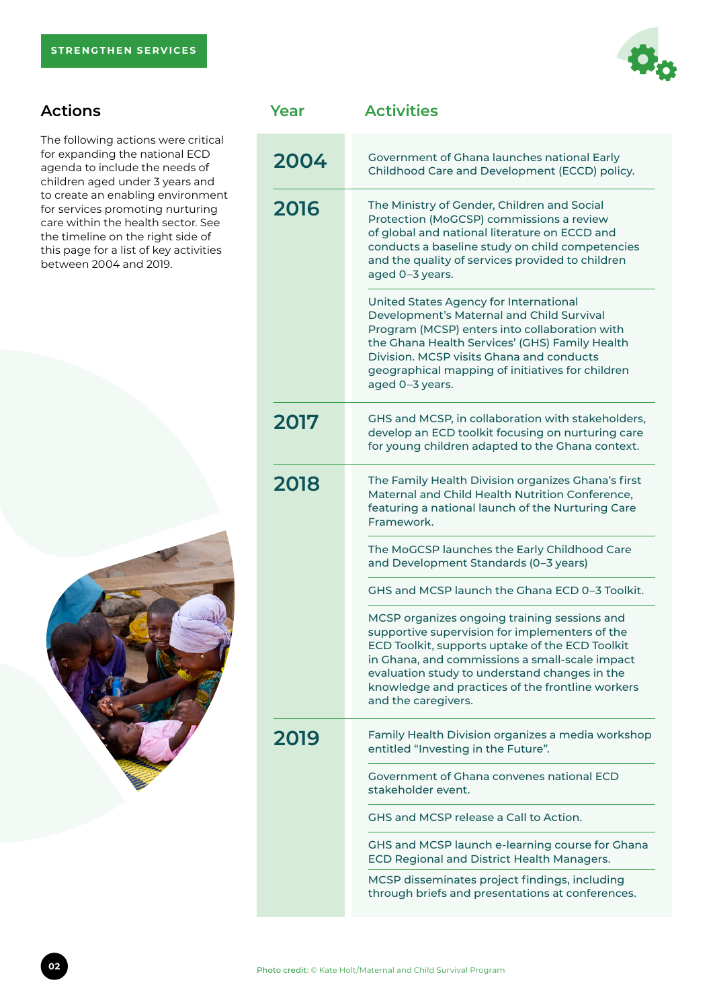

# **Actions**

The following actions were critical for expanding the national ECD agenda to include the needs of children aged under 3 years and to create an enabling environment for services promoting nurturing care within the health sector. See the timeline on the right side of this page for a list of key activities between 2004 and 2019.



| Year | <b>Activities</b>                                                                                                                                                                                                                                                                                                               |
|------|---------------------------------------------------------------------------------------------------------------------------------------------------------------------------------------------------------------------------------------------------------------------------------------------------------------------------------|
| 2004 | Government of Ghana launches national Early<br>Childhood Care and Development (ECCD) policy.                                                                                                                                                                                                                                    |
| 2016 | The Ministry of Gender, Children and Social<br>Protection (MoGCSP) commissions a review<br>of global and national literature on ECCD and<br>conducts a baseline study on child competencies<br>and the quality of services provided to children<br>aged 0-3 years.                                                              |
|      | United States Agency for International<br>Development's Maternal and Child Survival<br>Program (MCSP) enters into collaboration with<br>the Ghana Health Services' (GHS) Family Health<br>Division. MCSP visits Ghana and conducts<br>geographical mapping of initiatives for children<br>aged 0-3 years.                       |
| 2017 | GHS and MCSP, in collaboration with stakeholders,<br>develop an ECD toolkit focusing on nurturing care<br>for young children adapted to the Ghana context.                                                                                                                                                                      |
| 2018 | The Family Health Division organizes Ghana's first<br>Maternal and Child Health Nutrition Conference,<br>featuring a national launch of the Nurturing Care<br>Framework.                                                                                                                                                        |
|      | The MoGCSP launches the Early Childhood Care<br>and Development Standards (0-3 years)                                                                                                                                                                                                                                           |
|      | GHS and MCSP launch the Ghana ECD 0-3 Toolkit.                                                                                                                                                                                                                                                                                  |
|      | MCSP organizes ongoing training sessions and<br>supportive supervision for implementers of the<br>ECD Toolkit, supports uptake of the ECD Toolkit<br>in Ghana, and commissions a small-scale impact<br>evaluation study to understand changes in the<br>knowledge and practices of the frontline workers<br>and the caregivers. |
| 2019 | Family Health Division organizes a media workshop<br>entitled "Investing in the Future".                                                                                                                                                                                                                                        |
|      | Government of Ghana convenes national ECD<br>stakeholder event.                                                                                                                                                                                                                                                                 |
|      | GHS and MCSP release a Call to Action.                                                                                                                                                                                                                                                                                          |
|      | GHS and MCSP launch e-learning course for Ghana<br>ECD Regional and District Health Managers.                                                                                                                                                                                                                                   |
|      | MCSP disseminates project findings, including<br>through briefs and presentations at conferences.                                                                                                                                                                                                                               |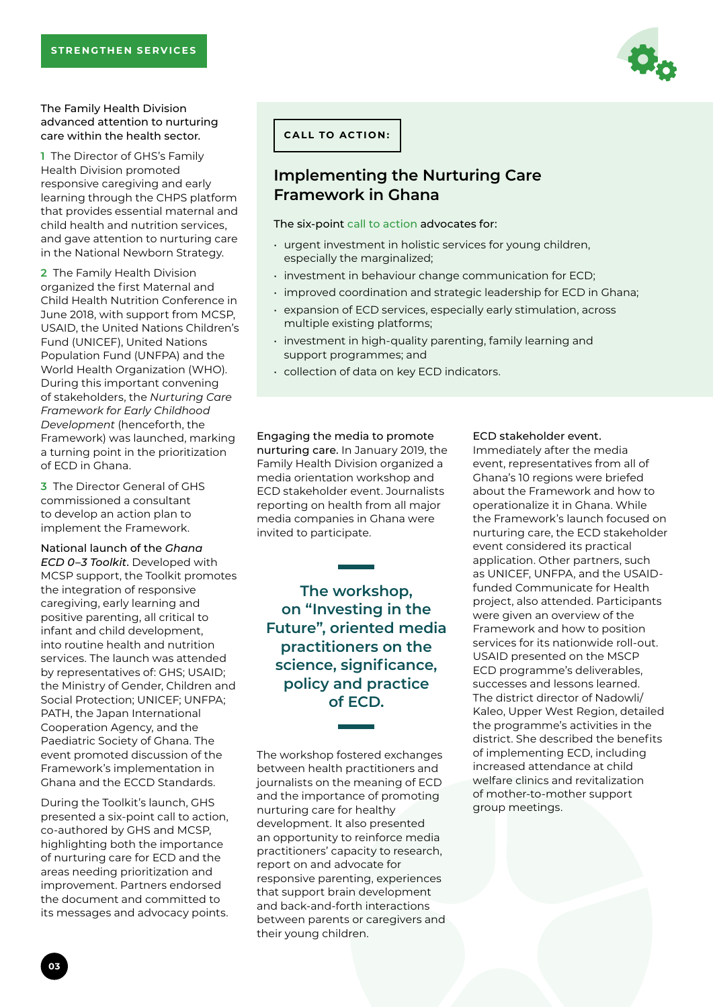#### The Family Health Division advanced attention to nurturing care within the health sector.

**1** The Director of GHS's Family Health Division promoted responsive caregiving and early learning through the CHPS platform that provides essential maternal and child health and nutrition services, and gave attention to nurturing care in the National Newborn Strategy.

**2** The Family Health Division organized the first Maternal and Child Health Nutrition Conference in June 2018, with support from MCSP, USAID, the United Nations Children's Fund (UNICEF), United Nations Population Fund (UNFPA) and the World Health Organization (WHO). During this important convening of stakeholders, the *Nurturing Care Framework for Early Childhood Development* (henceforth, the Framework) was launched, marking a turning point in the prioritization of ECD in Ghana.

**3** The Director General of GHS commissioned a consultant to develop an action plan to implement the Framework.

### National launch of the *Ghana*

*ECD 0–3 Toolkit*. Developed with MCSP support, the Toolkit promotes the integration of responsive caregiving, early learning and positive parenting, all critical to infant and child development, into routine health and nutrition services. The launch was attended by representatives of: GHS; USAID; the Ministry of Gender, Children and Social Protection; UNICEF; UNFPA; PATH, the Japan International Cooperation Agency, and the Paediatric Society of Ghana. The event promoted discussion of the Framework's implementation in Ghana and the ECCD Standards.

During the Toolkit's launch, GHS presented a six-point call to action, co-authored by GHS and MCSP, highlighting both the importance of nurturing care for ECD and the areas needing prioritization and improvement. Partners endorsed the document and committed to its messages and advocacy points.

**CALL TO ACTION:**

## **Implementing the Nurturing Care Framework in Ghana**

#### The six-point [call to action](https://www.mcsprogram.org/resource/call-to-action-implementing-the-nurturing-care-framework-in-ghana/) advocates for:

- urgent investment in holistic services for young children, especially the marginalized;
- investment in behaviour change communication for ECD;
- improved coordination and strategic leadership for ECD in Ghana;
- expansion of ECD services, especially early stimulation, across multiple existing platforms;
- investment in high-quality parenting, family learning and support programmes; and
- collection of data on key ECD indicators.

Engaging the media to promote nurturing care. In January 2019, the Family Health Division organized a media orientation workshop and ECD stakeholder event. Journalists reporting on health from all major media companies in Ghana were invited to participate.

**The workshop, on "Investing in the Future", oriented media practitioners on the science, significance, policy and practice of ECD.** 

The workshop fostered exchanges between health practitioners and journalists on the meaning of ECD and the importance of promoting nurturing care for healthy development. It also presented an opportunity to reinforce media practitioners' capacity to research, report on and advocate for responsive parenting, experiences that support brain development and back-and-forth interactions between parents or caregivers and their young children.

#### ECD stakeholder event.

Immediately after the media event, representatives from all of Ghana's 10 regions were briefed about the Framework and how to operationalize it in Ghana. While the Framework's launch focused on nurturing care, the ECD stakeholder event considered its practical application. Other partners, such as UNICEF, UNFPA, and the USAIDfunded Communicate for Health project, also attended. Participants were given an overview of the Framework and how to position services for its nationwide roll-out. USAID presented on the MSCP ECD programme's deliverables, successes and lessons learned. The district director of Nadowli/ Kaleo, Upper West Region, detailed the programme's activities in the district. She described the benefits of implementing ECD, including increased attendance at child welfare clinics and revitalization of mother-to-mother support group meetings.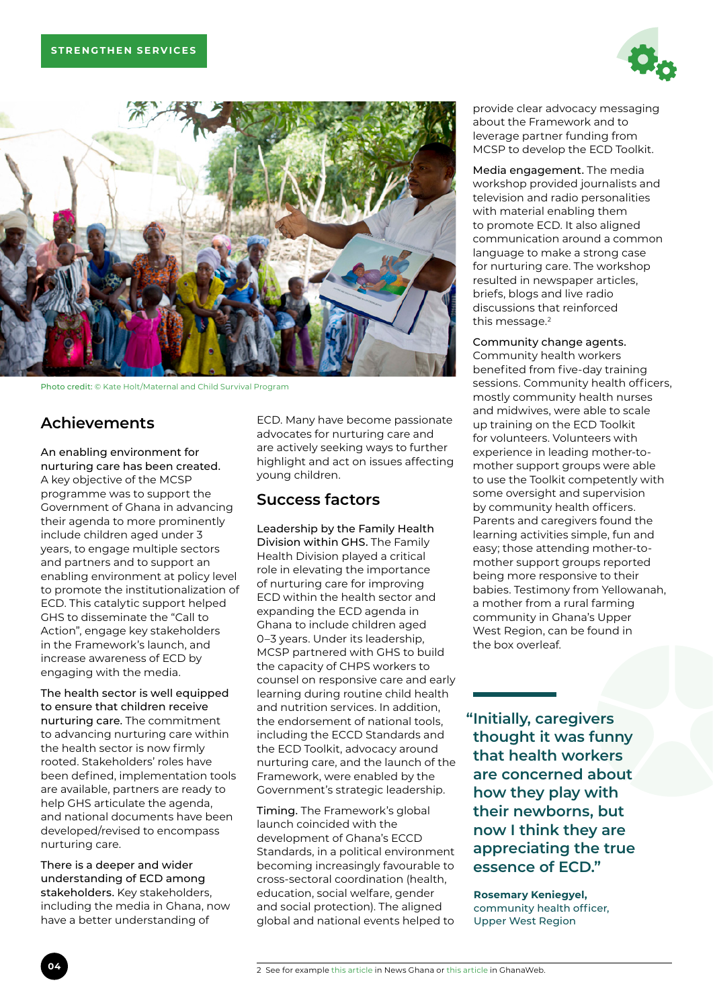



Photo credit: © Kate Holt/Maternal and Child Survival Program

# **Achievements**

An enabling environment for nurturing care has been created. A key objective of the MCSP programme was to support the Government of Ghana in advancing their agenda to more prominently include children aged under 3 years, to engage multiple sectors and partners and to support an enabling environment at policy level to promote the institutionalization of ECD. This catalytic support helped GHS to disseminate the "Call to Action", engage key stakeholders in the Framework's launch, and increase awareness of ECD by engaging with the media.

The health sector is well equipped to ensure that children receive nurturing care. The commitment to advancing nurturing care within the health sector is now firmly rooted. Stakeholders' roles have been defined, implementation tools are available, partners are ready to help GHS articulate the agenda, and national documents have been developed/revised to encompass nurturing care.

There is a deeper and wider understanding of ECD among stakeholders. Key stakeholders, including the media in Ghana, now have a better understanding of

ECD. Many have become passionate advocates for nurturing care and are actively seeking ways to further highlight and act on issues affecting young children.

## **Success factors**

Leadership by the Family Health Division within GHS. The Family Health Division played a critical role in elevating the importance of nurturing care for improving ECD within the health sector and expanding the ECD agenda in Ghana to include children aged 0–3 years. Under its leadership, MCSP partnered with GHS to build the capacity of CHPS workers to counsel on responsive care and early learning during routine child health and nutrition services. In addition, the endorsement of national tools, including the ECCD Standards and the ECD Toolkit, advocacy around nurturing care, and the launch of the Framework, were enabled by the Government's strategic leadership.

Timing. The Framework's global launch coincided with the development of Ghana's ECCD Standards, in a political environment becoming increasingly favourable to cross-sectoral coordination (health, education, social welfare, gender and social protection). The aligned global and national events helped to provide clear advocacy messaging about the Framework and to leverage partner funding from MCSP to develop the ECD Toolkit.

Media engagement. The media workshop provided journalists and television and radio personalities with material enabling them to promote ECD. It also aligned communication around a common language to make a strong case for nurturing care. The workshop resulted in newspaper articles, briefs, blogs and live radio discussions that reinforced this message.<sup>2</sup>

#### Community change agents.

Community health workers benefited from five-day training sessions. Community health officers, mostly community health nurses and midwives, were able to scale up training on the ECD Toolkit for volunteers. Volunteers with experience in leading mother-tomother support groups were able to use the Toolkit competently with some oversight and supervision by community health officers. Parents and caregivers found the learning activities simple, fun and easy; those attending mother-tomother support groups reported being more responsive to their babies. Testimony from Yellowanah, a mother from a rural farming community in Ghana's Upper West Region, can be found in the box overleaf.

**"Initially, caregivers thought it was funny that health workers are concerned about how they play with their newborns, but now I think they are appreciating the true essence of ECD."**

 **Rosemary Keniegyel,**  community health officer, Upper West Region